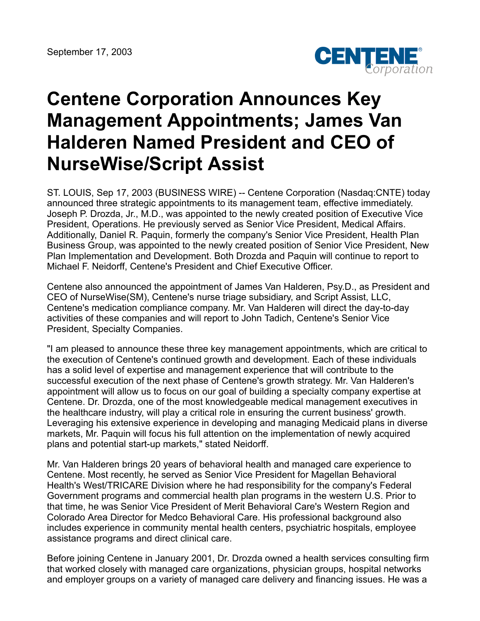

## **Centene Corporation Announces Key Management Appointments; James Van Halderen Named President and CEO of NurseWise/Script Assist**

ST. LOUIS, Sep 17, 2003 (BUSINESS WIRE) -- Centene Corporation (Nasdaq:CNTE) today announced three strategic appointments to its management team, effective immediately. Joseph P. Drozda, Jr., M.D., was appointed to the newly created position of Executive Vice President, Operations. He previously served as Senior Vice President, Medical Affairs. Additionally, Daniel R. Paquin, formerly the company's Senior Vice President, Health Plan Business Group, was appointed to the newly created position of Senior Vice President, New Plan Implementation and Development. Both Drozda and Paquin will continue to report to Michael F. Neidorff, Centene's President and Chief Executive Officer.

Centene also announced the appointment of James Van Halderen, Psy.D., as President and CEO of NurseWise(SM), Centene's nurse triage subsidiary, and Script Assist, LLC, Centene's medication compliance company. Mr. Van Halderen will direct the day-to-day activities of these companies and will report to John Tadich, Centene's Senior Vice President, Specialty Companies.

"I am pleased to announce these three key management appointments, which are critical to the execution of Centene's continued growth and development. Each of these individuals has a solid level of expertise and management experience that will contribute to the successful execution of the next phase of Centene's growth strategy. Mr. Van Halderen's appointment will allow us to focus on our goal of building a specialty company expertise at Centene. Dr. Drozda, one of the most knowledgeable medical management executives in the healthcare industry, will play a critical role in ensuring the current business' growth. Leveraging his extensive experience in developing and managing Medicaid plans in diverse markets, Mr. Paquin will focus his full attention on the implementation of newly acquired plans and potential start-up markets," stated Neidorff.

Mr. Van Halderen brings 20 years of behavioral health and managed care experience to Centene. Most recently, he served as Senior Vice President for Magellan Behavioral Health's West/TRICARE Division where he had responsibility for the company's Federal Government programs and commercial health plan programs in the western U.S. Prior to that time, he was Senior Vice President of Merit Behavioral Care's Western Region and Colorado Area Director for Medco Behavioral Care. His professional background also includes experience in community mental health centers, psychiatric hospitals, employee assistance programs and direct clinical care.

Before joining Centene in January 2001, Dr. Drozda owned a health services consulting firm that worked closely with managed care organizations, physician groups, hospital networks and employer groups on a variety of managed care delivery and financing issues. He was a